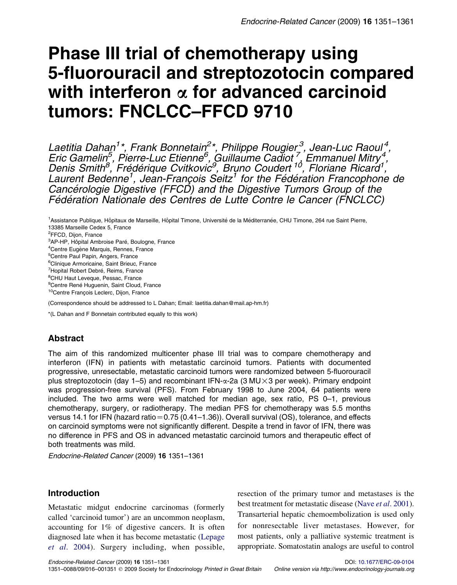# Phase III trial of chemotherapy using 5-fluorouracil and streptozotocin compared with interferon *a* for advanced carcinoid tumors: FNCLCC–FFCD 9710

Laetitia Dahan<sup>1\*</sup>, Frank Bonnetain<sup>2\*</sup>, Philippe Rougier<sub>3</sub>, Jean-Luc Raoul<sup>4</sup>, Eric Gamelin<sup>5</sup>, Pierre-Luc Etienne<sup>6</sup>, Guillaume Cadiot<sup>7</sup>, Emmanuel Mitry<sup>4</sup>, Denis Smith<sup>8</sup>, Frédérique Cvitkovic<sup>9</sup>, Bruno Coudert<sup>10</sup>, Floriane Ricard<sup>1</sup>, Laurent Bedenne<sup>1</sup>, Jean-François Seitz<sup>1</sup> for the Fédération Francophone de Cancérologie Digestive (FFCD) and the Digestive Tumors Group of the Fédération Nationale des Centres de Lutte Contre le Cancer (FNCLCC)

1Assistance Publique, Hôpitaux de Marseille, Hôpital Timone, Université de la Méditerranée, CHU Timone, 264 rue Saint Pierre, 13385 Marseille Cedex 5, France

- <sup>3</sup>AP-HP, Hôpital Ambroise Paré, Boulogne, France
- <sup>4</sup>Centre Eugène Marquis, Rennes, France
- 5 Centre Paul Papin, Angers, France
- <sup>6</sup>Clinique Armoricaine, Saint Brieuc, France
- <sup>7</sup>Hopital Robert Debré, Reims, France
- <sup>8</sup>CHU Haut Leveque, Pessac, France
- <sup>9</sup>Centre René Huguenin, Saint Cloud, France
- <sup>10</sup>Centre François Leclerc, Dijon, France

(Correspondence should be addressed to L Dahan; Email: laetitia.dahan@mail.ap-hm.fr)

\*(L Dahan and F Bonnetain contributed equally to this work)

# Abstract

The aim of this randomized multicenter phase III trial was to compare chemotherapy and interferon (IFN) in patients with metastatic carcinoid tumors. Patients with documented progressive, unresectable, metastatic carcinoid tumors were randomized between 5-fluorouracil plus streptozotocin (day 1–5) and recombinant IFN- $\alpha$ -2a (3 MU $\times$ 3 per week). Primary endpoint was progression-free survival (PFS). From February 1998 to June 2004, 64 patients were included. The two arms were well matched for median age, sex ratio, PS 0–1, previous chemotherapy, surgery, or radiotherapy. The median PFS for chemotherapy was 5.5 months versus 14.1 for IFN (hazard ratio $=$  0.75 (0.41–1.36)). Overall survival (OS), tolerance, and effects on carcinoid symptoms were not significantly different. Despite a trend in favor of IFN, there was no difference in PFS and OS in advanced metastatic carcinoid tumors and therapeutic effect of both treatments was mild.

Endocrine-Related Cancer (2009) 16 1351–1361

# Introduction

Metastatic midgut endocrine carcinomas (formerly called 'carcinoid tumor') are an uncommon neoplasm, accounting for 1% of digestive cancers. It is often diagnosed late when it has become metastatic [\(Lepage](#page-10-0) et al[. 2004](#page-10-0)). Surgery including, when possible, resection of the primary tumor and metastases is the best treatment for metastatic disease (Nave et al[. 2001](#page-10-0)). Transarterial hepatic chemoembolization is used only for nonresectable liver metastases. However, for most patients, only a palliative systemic treatment is appropriate. Somatostatin analogs are useful to control

<sup>&</sup>lt;sup>2</sup>FFCD, Dijon, France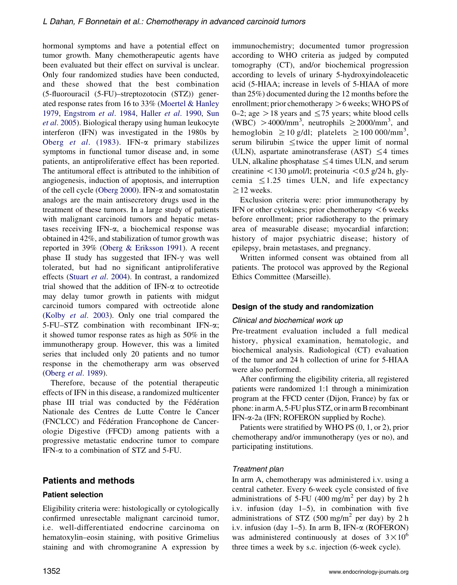hormonal symptoms and have a potential effect on tumor growth. Many chemotherapeutic agents have been evaluated but their effect on survival is unclear. Only four randomized studies have been conducted, and these showed that the best combination (5-fluorouracil (5-FU)–streptozotocin (STZ)) generated response rates from 16 to 33% ([Moertel & Hanley](#page-10-0) [1979,](#page-10-0) [Engstrom](#page-10-0) et al. 1984, Haller et al[. 1990,](#page-10-0) [Sun](#page-10-0) et al[. 2005](#page-10-0)). Biological therapy using human leukocyte interferon (IFN) was investigated in the 1980s by Oberg et al[. \(1983\).](#page-10-0) IFN- $\alpha$  primary stabilizes symptoms in functional tumor disease and, in some patients, an antiproliferative effect has been reported. The antitumoral effect is attributed to the inhibition of angiogenesis, induction of apoptosis, and interruption of the cell cycle ([Oberg 2000](#page-10-0)). IFN- $\alpha$  and somatostatin analogs are the main antisecretory drugs used in the treatment of these tumors. In a large study of patients with malignant carcinoid tumors and hepatic metastases receiving IFN- $\alpha$ , a biochemical response was obtained in 42%, and stabilization of tumor growth was reported in 39% [\(Oberg & Eriksson 1991\)](#page-10-0). A recent phase II study has suggested that IFN- $\gamma$  was well tolerated, but had no significant antiproliferative effects (Stuart et al[. 2004\)](#page-10-0). In contrast, a randomized trial showed that the addition of IFN- $\alpha$  to octreotide may delay tumor growth in patients with midgut carcinoid tumors compared with octreotide alone (Kolby et al[. 2003\)](#page-10-0). Only one trial compared the 5-FU–STZ combination with recombinant IFN-a; it showed tumor response rates as high as 50% in the immunotherapy group. However, this was a limited series that included only 20 patients and no tumor response in the chemotherapy arm was observed (Oberg et al[. 1989\)](#page-10-0).

Therefore, because of the potential therapeutic effects of IFN in this disease, a randomized multicenter phase III trial was conducted by the Fédération Nationale des Centres de Lutte Contre le Cancer (FNCLCC) and Fédération Francophone de Cancerologie Digestive (FFCD) among patients with a progressive metastatic endocrine tumor to compare IFN-a to a combination of STZ and 5-FU.

# Patients and methods

# Patient selection

Eligibility criteria were: histologically or cytologically confirmed unresectable malignant carcinoid tumor, i.e. well-differentiated endocrine carcinoma on hematoxylin–eosin staining, with positive Grimelius staining and with chromogranine A expression by immunochemistry; documented tumor progression according to WHO criteria as judged by computed tomography (CT), and/or biochemical progression according to levels of urinary 5-hydroxyindoleacetic acid (5-HIAA; increase in levels of 5-HIAA of more than 25%) documented during the 12 months before the enrollment; prior chemotherapy  $> 6$  weeks; WHO PS of 0–2; age  $>$  18 years and  $\leq$  75 years; white blood cells (WBC) >4000/mm<sup>3</sup>, neutrophils  $\geq$ 2000/mm<sup>3</sup>, and hemoglobin  $\geq 10$  g/dl; platelets  $\geq 100$  000/mm<sup>3</sup>, serum bilirubin  $\leq$ twice the upper limit of normal (ULN), aspartate aminotransferase (AST)  $\leq$  4 times ULN, alkaline phosphatase  $\leq$  4 times ULN, and serum creatinine  $\langle 130 \text{ \mu}$ mol/l; proteinuria  $\langle 0.5 \text{ g}/24 \text{ h}$ , glycemia  $\leq 1.25$  times ULN, and life expectancy  $\geq$  12 weeks.

Exclusion criteria were: prior immunotherapy by IFN or other cytokines; prior chemotherapy  $<6$  weeks before enrollment; prior radiotherapy to the primary area of measurable disease; myocardial infarction; history of major psychiatric disease; history of epilepsy, brain metastases, and pregnancy.

Written informed consent was obtained from all patients. The protocol was approved by the Regional Ethics Committee (Marseille).

# Design of the study and randomization

## Clinical and biochemical work up

Pre-treatment evaluation included a full medical history, physical examination, hematologic, and biochemical analysis. Radiological (CT) evaluation of the tumor and 24 h collection of urine for 5-HIAA were also performed.

After confirming the eligibility criteria, all registered patients were randomized 1:1 through a minimization program at the FFCD center (Dijon, France) by fax or phone: in arm A, 5-FU plus STZ, or in arm B recombinant IFN-a-2a (IFN; ROFERON supplied by Roche).

Patients were stratified by WHO PS (0, 1, or 2), prior chemotherapy and/or immunotherapy (yes or no), and participating institutions.

# Treatment plan

In arm A, chemotherapy was administered i.v. using a central catheter. Every 6-week cycle consisted of five administrations of 5-FU (400 mg/m<sup>2</sup> per day) by 2 h i.v. infusion (day 1–5), in combination with five administrations of STZ (500 mg/m<sup>2</sup> per day) by 2 h i.v. infusion (day  $1-5$ ). In arm B, IFN- $\alpha$  (ROFERON) was administered continuously at doses of  $3 \times 10^6$ three times a week by s.c. injection (6-week cycle).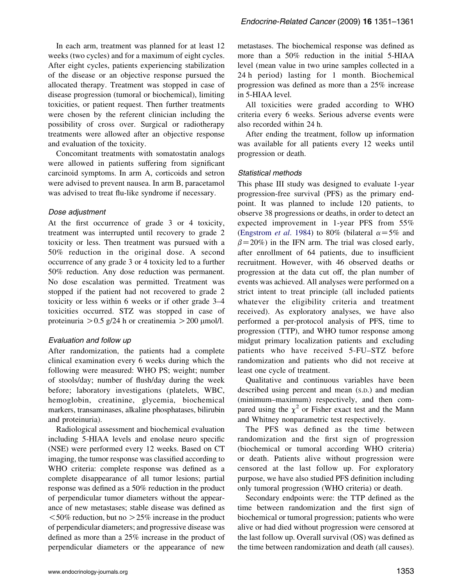In each arm, treatment was planned for at least 12 weeks (two cycles) and for a maximum of eight cycles. After eight cycles, patients experiencing stabilization of the disease or an objective response pursued the allocated therapy. Treatment was stopped in case of disease progression (tumoral or biochemical), limiting toxicities, or patient request. Then further treatments were chosen by the referent clinician including the possibility of cross over. Surgical or radiotherapy treatments were allowed after an objective response and evaluation of the toxicity.

Concomitant treatments with somatostatin analogs were allowed in patients suffering from significant carcinoid symptoms. In arm A, corticoids and setron were advised to prevent nausea. In arm B, paracetamol was advised to treat flu-like syndrome if necessary.

## Dose adjustment

At the first occurrence of grade 3 or 4 toxicity, treatment was interrupted until recovery to grade 2 toxicity or less. Then treatment was pursued with a 50% reduction in the original dose. A second occurrence of any grade 3 or 4 toxicity led to a further 50% reduction. Any dose reduction was permanent. No dose escalation was permitted. Treatment was stopped if the patient had not recovered to grade 2 toxicity or less within 6 weeks or if other grade 3–4 toxicities occurred. STZ was stopped in case of proteinuria  $> 0.5$  g/24 h or creatinemia  $> 200$  µmol/l.

## Evaluation and follow up

After randomization, the patients had a complete clinical examination every 6 weeks during which the following were measured: WHO PS; weight; number of stools/day; number of flush/day during the week before; laboratory investigations (platelets, WBC, hemoglobin, creatinine, glycemia, biochemical markers, transaminases, alkaline phosphatases, bilirubin and proteinuria).

Radiological assessment and biochemical evaluation including 5-HIAA levels and enolase neuro specific (NSE) were performed every 12 weeks. Based on CT imaging, the tumor response was classified according to WHO criteria: complete response was defined as a complete disappearance of all tumor lesions; partial response was defined as a 50% reduction in the product of perpendicular tumor diameters without the appearance of new metastases; stable disease was defined as  $150\%$  reduction, but no  $>25\%$  increase in the product of perpendicular diameters; and progressive disease was defined as more than a 25% increase in the product of perpendicular diameters or the appearance of new

metastases. The biochemical response was defined as more than a 50% reduction in the initial 5-HIAA level (mean value in two urine samples collected in a 24 h period) lasting for 1 month. Biochemical progression was defined as more than a 25% increase in 5-HIAA level.

All toxicities were graded according to WHO criteria every 6 weeks. Serious adverse events were also recorded within 24 h.

After ending the treatment, follow up information was available for all patients every 12 weeks until progression or death.

# Statistical methods

This phase III study was designed to evaluate 1-year progression-free survival (PFS) as the primary endpoint. It was planned to include 120 patients, to observe 38 progressions or deaths, in order to detect an expected improvement in 1-year PFS from 55% [\(Engstrom](#page-10-0) *et al.* 1984) to 80% (bilateral  $\alpha$ =5% and  $\beta$ =20%) in the IFN arm. The trial was closed early, after enrollment of 64 patients, due to insufficient recruitment. However, with 46 observed deaths or progression at the data cut off, the plan number of events was achieved. All analyses were performed on a strict intent to treat principle (all included patients whatever the eligibility criteria and treatment received). As exploratory analyses, we have also performed a per-protocol analysis of PFS, time to progression (TTP), and WHO tumor response among midgut primary localization patients and excluding patients who have received 5-FU–STZ before randomization and patients who did not receive at least one cycle of treatment.

Qualitative and continuous variables have been described using percent and mean (S.D.) and median (minimum–maximum) respectively, and then compared using the  $\chi^2$  or Fisher exact test and the Mann and Whitney nonparametric test respectively.

The PFS was defined as the time between randomization and the first sign of progression (biochemical or tumoral according WHO criteria) or death. Patients alive without progression were censored at the last follow up. For exploratory purpose, we have also studied PFS definition including only tumoral progression (WHO criteria) or death.

Secondary endpoints were: the TTP defined as the time between randomization and the first sign of biochemical or tumoral progression; patients who were alive or had died without progression were censored at the last follow up. Overall survival (OS) was defined as the time between randomization and death (all causes).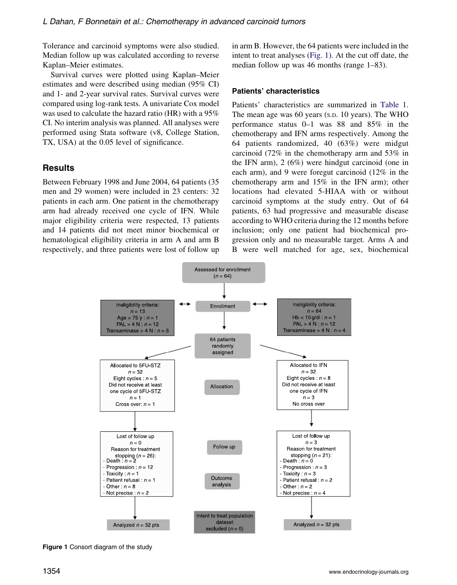Tolerance and carcinoid symptoms were also studied. Median follow up was calculated according to reverse Kaplan–Meier estimates.

Survival curves were plotted using Kaplan–Meier estimates and were described using median (95% CI) and 1- and 2-year survival rates. Survival curves were compared using log-rank tests. A univariate Cox model was used to calculate the hazard ratio (HR) with a 95% CI. No interim analysis was planned. All analyses were performed using Stata software (v8, College Station, TX, USA) at the 0.05 level of significance.

# **Results**

Between February 1998 and June 2004, 64 patients (35 men and 29 women) were included in 23 centers: 32 patients in each arm. One patient in the chemotherapy arm had already received one cycle of IFN. While major eligibility criteria were respected, 13 patients and 14 patients did not meet minor biochemical or hematological eligibility criteria in arm A and arm B respectively, and three patients were lost of follow up in arm B. However, the 64 patients were included in the intent to treat analyses (Fig. 1). At the cut off date, the median follow up was 46 months (range 1–83).

## Patients' characteristics

Patients' characteristics are summarized in [Table 1.](#page-4-0) The mean age was 60 years (S.D. 10 years). The WHO performance status 0–1 was 88 and 85% in the chemotherapy and IFN arms respectively. Among the 64 patients randomized, 40 (63%) were midgut carcinoid (72% in the chemotherapy arm and 53% in the IFN arm), 2 (6%) were hindgut carcinoid (one in each arm), and 9 were foregut carcinoid (12% in the chemotherapy arm and 15% in the IFN arm); other locations had elevated 5-HIAA with or without carcinoid symptoms at the study entry. Out of 64 patients, 63 had progressive and measurable disease according to WHO criteria during the 12 months before inclusion; only one patient had biochemical progression only and no measurable target. Arms A and B were well matched for age, sex, biochemical



Figure 1 Consort diagram of the study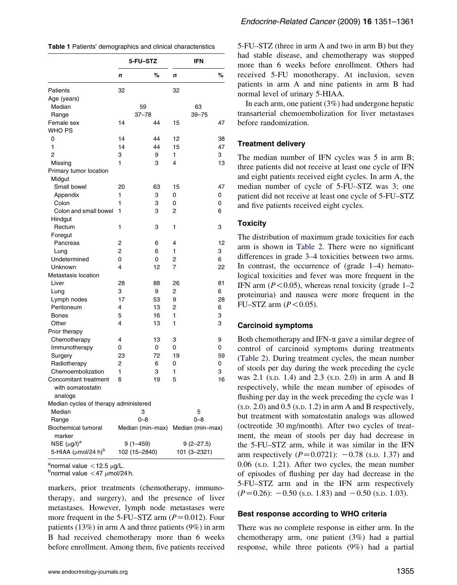<span id="page-4-0"></span>

| <b>Table 1</b> Patients' demographics and clinical characteristics |
|--------------------------------------------------------------------|
|--------------------------------------------------------------------|

|                                       | 5-FU-STZ |                                   | IFN            |               |      |
|---------------------------------------|----------|-----------------------------------|----------------|---------------|------|
|                                       | n        | %                                 | n              |               | $\%$ |
| Patients                              | 32       |                                   | 32             |               |      |
| Age (years)                           |          |                                   |                |               |      |
| Median                                |          | 59                                |                | 63            |      |
| Range                                 |          | $37 - 78$                         |                | $39 - 75$     |      |
| Female sex                            | 14       | 44                                | 15             |               | 47   |
| WHO PS                                |          |                                   |                |               |      |
| 0                                     | 14       | 44                                | 12             |               | 38   |
| 1                                     | 14       | 44                                | 15             |               | 47   |
| $\overline{2}$                        | 3        | 9                                 | 1              |               | 3    |
| Missing                               | 1        | 3                                 | 4              |               | 13   |
| Primary tumor location                |          |                                   |                |               |      |
| Midgut                                |          |                                   |                |               |      |
| Small bowel                           | 20       | 63                                | 15             |               | 47   |
| Appendix                              | 1        | 3                                 | 0              |               | 0    |
| Colon                                 | 1        | 3                                 | 0              |               | 0    |
| Colon and small bowel                 | 1        | 3                                 | $\overline{2}$ |               | 6    |
| Hindgut                               |          |                                   |                |               |      |
| Rectum                                | 1        | 3                                 | 1              |               | 3    |
| Foregut                               |          |                                   |                |               |      |
| Pancreas                              | 2        | 6                                 | 4              |               | 12   |
| Lung                                  | 2        | 6                                 | 1              |               | 3    |
| Undetermined                          | 0        | 0                                 | 2              |               | 6    |
| Unknown                               | 4        | 12                                | 7              |               | 22   |
| Metastasis location                   |          |                                   |                |               |      |
| Liver                                 | 28       | 88                                | 26             |               | 81   |
| Lung                                  | 3        | 9                                 | 2              |               | 6    |
| Lymph nodes                           | 17       | 53                                | 9              |               | 28   |
| Peritoneum                            | 4        | 13                                | $\overline{2}$ |               | 6    |
| <b>Bones</b>                          | 5        | 16                                | 1              |               | 3    |
| Other                                 | 4        | 13                                | 1              |               | 3    |
| Prior therapy                         |          |                                   |                |               |      |
| Chemotherapy                          | 4        | 13                                | 3              |               | 9    |
| Immunotherapy                         | 0        | 0                                 | 0              |               | 0    |
| Surgery                               | 23       | 72                                | 19             |               | 59   |
| Radiotherapy                          | 2        | 6                                 | 0              |               | 0    |
| Chemoembolization                     | 1        | 3                                 | 1              |               | 3    |
| Concomitant treatment                 | 6        | 19                                | 5              |               | 16   |
| with somatostatin<br>analogs          |          |                                   |                |               |      |
| Median cycles of therapy administered |          |                                   |                |               |      |
|                                       |          | 3                                 |                | 5             |      |
| Median                                |          | $0 - 8$                           |                | $0 - 8$       |      |
| Range                                 |          |                                   |                |               |      |
| Biochemical tumoral<br>marker         |          | Median (min-max) Median (min-max) |                |               |      |
| NSE $(\mu g/l)^a$                     |          | $9(1 - 459)$                      |                | $9(2 - 27.5)$ |      |
| 5-HIAA (μmol/24 h) <sup>b</sup>       |          | 102 (15-2840)                     |                | 101 (3-2321)  |      |

<sup>a</sup>normal value  $\lt 12.5$   $\mu$ g/L.<br>bnormal value  $\lt 47$  umol/2

 $^{\text{b}}$ normal value < 47 µmol/24 h.

markers, prior treatments (chemotherapy, immunotherapy, and surgery), and the presence of liver metastases. However, lymph node metastases were more frequent in the 5-FU–STZ arm  $(P=0.012)$ . Four patients (13%) in arm A and three patients (9%) in arm B had received chemotherapy more than 6 weeks before enrollment. Among them, five patients received

5-FU–STZ (three in arm A and two in arm B) but they had stable disease, and chemotherapy was stopped more than 6 weeks before enrollment. Others had received 5-FU monotherapy. At inclusion, seven patients in arm A and nine patients in arm B had normal level of urinary 5-HIAA.

In each arm, one patient (3%) had undergone hepatic transarterial chemoembolization for liver metastases before randomization.

#### Treatment delivery

The median number of IFN cycles was 5 in arm B; three patients did not receive at least one cycle of IFN and eight patients received eight cycles. In arm A, the median number of cycle of 5-FU–STZ was 3; one patient did not receive at least one cycle of 5-FU–STZ and five patients received eight cycles.

#### Toxicity

The distribution of maximum grade toxicities for each arm is shown in [Table 2](#page-5-0). There were no significant differences in grade 3–4 toxicities between two arms. In contrast, the occurrence of (grade 1–4) hematological toxicities and fever was more frequent in the IFN arm ( $P < 0.05$ ), whereas renal toxicity (grade 1–2) proteinuria) and nausea were more frequent in the FU–STZ arm  $(P<0.05)$ .

#### Carcinoid symptoms

Both chemotherapy and IFN- $\alpha$  gave a similar degree of control of carcinoid symptoms during treatments [\(Table 2](#page-5-0)). During treatment cycles, the mean number of stools per day during the week preceding the cycle was 2.1 (S.D. 1.4) and 2.3 (S.D. 2.0) in arm A and B respectively, while the mean number of episodes of flushing per day in the week preceding the cycle was 1 (S.D. 2.0) and 0.5 (S.D. 1.2) in arm A and B respectively, but treatment with somatostatin analogs was allowed (octreotide 30 mg/month). After two cycles of treatment, the mean of stools per day had decrease in the 5-FU–STZ arm, while it was similar in the IFN arm respectively  $(P=0.0721)$ :  $-0.78$  (s.p. 1.37) and 0.06 (S.D. 1.21). After two cycles, the mean number of episodes of flushing per day had decrease in the 5-FU–STZ arm and in the IFN arm respectively  $(P=0.26)$ :  $-0.50$  (s.p. 1.83) and  $-0.50$  (s.p. 1.03).

#### Best response according to WHO criteria

There was no complete response in either arm. In the chemotherapy arm, one patient (3%) had a partial response, while three patients (9%) had a partial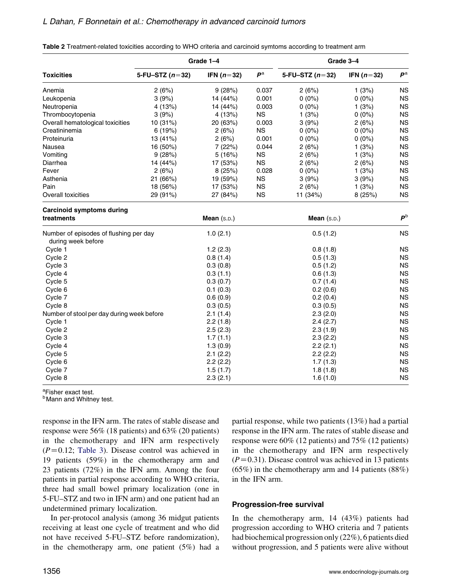## <span id="page-5-0"></span>L Dahan, F Bonnetain et al.: Chemotherapy in advanced carcinoid tumors

|                                            |                   | Grade 1-4     | Grade 3-4   |                   |              |                |
|--------------------------------------------|-------------------|---------------|-------------|-------------------|--------------|----------------|
| <b>Toxicities</b>                          | 5-FU-STZ $(n=32)$ | IFN $(n=32)$  | $P^{\rm a}$ | 5-FU-STZ $(n=32)$ | IFN $(n=32)$ | $P^{\rm a}$    |
| Anemia                                     | 2(6%)             | 9(28%)        | 0.037       | 2(6%)             | 1(3%)        | <b>NS</b>      |
| Leukopenia                                 | 3(9%)             | 14 (44%)      | 0.001       | $0(0\%)$          | $0(0\%)$     | <b>NS</b>      |
| Neutropenia                                | 4(13%)            | 14 (44%)      | 0.003       | $0(0\%)$          | 1(3%)        | <b>NS</b>      |
| Thrombocytopenia                           | 3(9%)             | 4(13%)        | <b>NS</b>   | 1(3%)             | $0(0\%)$     | <b>NS</b>      |
| Overall hematological toxicities           | 10 (31%)          | 20 (63%)      | 0.003       | 3(9%)             | 2(6%)        | <b>NS</b>      |
| Creatininemia                              | 6(19%)            | 2(6%)         | <b>NS</b>   | $0(0\%)$          | $0(0\%)$     | <b>NS</b>      |
| Proteinuria                                | 13 (41%)          | 2(6%)         | 0.001       | $0(0\%)$          | $0(0\%)$     | <b>NS</b>      |
| Nausea                                     | 16 (50%)          | 7(22%)        | 0.044       | 2(6%)             | 1(3%)        | <b>NS</b>      |
| Vomiting                                   | 9(28%)            | 5(16%)        | <b>NS</b>   | 2(6%)             | 1(3%)        | <b>NS</b>      |
| Diarrhea                                   | 14 (44%)          | 17 (53%)      | <b>NS</b>   | 2(6%)             | 2(6%)        | <b>NS</b>      |
| Fever                                      | 2(6%)             | 8(25%)        | 0.028       | $0(0\%)$          | 1(3%)        | <b>NS</b>      |
| Asthenia                                   | 21 (66%)          | 19 (59%)      | <b>NS</b>   | 3(9%)             | 3(9%)        | <b>NS</b>      |
| Pain                                       | 18 (56%)          | 17 (53%)      | <b>NS</b>   | 2(6%)             | 1(3%)        | <b>NS</b>      |
| Overall toxicities                         | 29 (91%)          | 27 (84%)      | <b>NS</b>   | 11 (34%)          | 8 (25%)      | <b>NS</b>      |
| <b>Carcinoid symptoms during</b>           |                   |               |             |                   |              | P <sup>b</sup> |
| treatments                                 |                   | Mean $(s.p.)$ |             | Mean $(s.p.)$     |              |                |
| Number of episodes of flushing per day     |                   | 1.0(2.1)      |             | 0.5(1.2)          |              | <b>NS</b>      |
| during week before                         |                   |               |             |                   |              |                |
| Cycle 1                                    |                   | 1.2(2.3)      |             | 0.8(1.8)          |              | <b>NS</b>      |
| Cycle 2                                    |                   | 0.8(1.4)      |             | 0.5(1.3)          |              | <b>NS</b>      |
| Cycle 3                                    |                   | 0.3(0.8)      |             | 0.5(1.2)          |              | <b>NS</b>      |
| Cycle 4                                    |                   | 0.3(1.1)      |             | 0.6(1.3)          |              | <b>NS</b>      |
| Cycle 5                                    |                   | 0.3(0.7)      |             | 0.7(1.4)          |              | <b>NS</b>      |
| Cycle 6                                    |                   | 0.1(0.3)      |             | 0.2(0.6)          |              | <b>NS</b>      |
| Cycle 7                                    |                   | 0.6(0.9)      |             | 0.2(0.4)          |              | <b>NS</b>      |
| Cycle 8                                    |                   | 0.3(0.5)      |             | 0.3(0.5)          |              | <b>NS</b>      |
| Number of stool per day during week before |                   | 2.1(1.4)      |             | 2.3(2.0)          |              | <b>NS</b>      |
| Cycle 1                                    |                   | 2.2(1.8)      |             | 2.4(2.7)          |              | <b>NS</b>      |
| Cycle 2                                    |                   | 2.5(2.3)      |             | 2.3(1.9)          |              | <b>NS</b>      |
| Cycle 3                                    |                   | 1.7(1.1)      |             | 2.3(2.2)          |              | <b>NS</b>      |
| Cycle 4                                    |                   | 1.3(0.9)      |             | 2.2(2.1)          |              | <b>NS</b>      |
| Cycle 5                                    |                   | 2.1(2.2)      |             | 2.2(2.2)          |              | <b>NS</b>      |
| Cycle 6                                    |                   | 2.2(2.2)      |             | 1.7(1.3)          |              | <b>NS</b>      |
| Cycle 7                                    |                   | 1.5(1.7)      |             | 1.8(1.8)          |              | <b>NS</b>      |
| Cycle 8                                    |                   | 2.3(2.1)      |             | 1.6(1.0)          |              | <b>NS</b>      |

Table 2 Treatment-related toxicities according to WHO criteria and carcinoid symtoms according to treatment arm

<sup>a</sup>Fisher exact test.

**b**Mann and Whitney test.

response in the IFN arm. The rates of stable disease and response were 56% (18 patients) and 63% (20 patients) in the chemotherapy and IFN arm respectively  $(P=0.12;$  [Table 3](#page-6-0)). Disease control was achieved in 19 patients (59%) in the chemotherapy arm and 23 patients (72%) in the IFN arm. Among the four patients in partial response according to WHO criteria, three had small bowel primary localization (one in 5-FU–STZ and two in IFN arm) and one patient had an undetermined primary localization.

In per-protocol analysis (among 36 midgut patients receiving at least one cycle of treatment and who did not have received 5-FU–STZ before randomization), in the chemotherapy arm, one patient (5%) had a partial response, while two patients (13%) had a partial response in the IFN arm. The rates of stable disease and response were 60% (12 patients) and 75% (12 patients) in the chemotherapy and IFN arm respectively  $(P=0.31)$ . Disease control was achieved in 13 patients (65%) in the chemotherapy arm and 14 patients (88%) in the IFN arm.

## Progression-free survival

In the chemotherapy arm, 14 (43%) patients had progression according to WHO criteria and 7 patients had biochemical progression only (22%), 6 patients died without progression, and 5 patients were alive without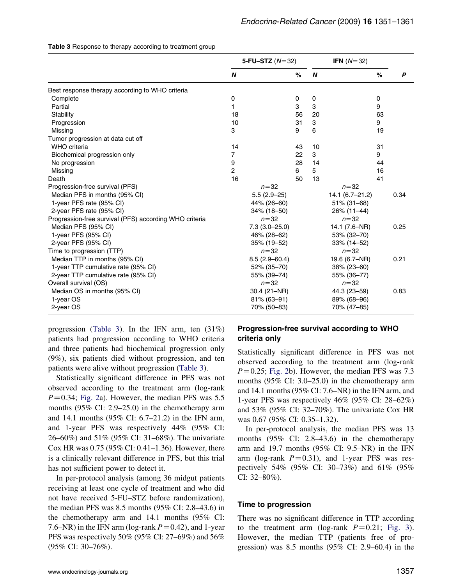|                                                        | 5-FU-STZ $(N=32)$ |                   |    | IFN $(N=32)$     |                     |    |      |
|--------------------------------------------------------|-------------------|-------------------|----|------------------|---------------------|----|------|
|                                                        | N                 |                   | %  | $\boldsymbol{N}$ |                     | %  | P    |
| Best response therapy according to WHO criteria        |                   |                   |    |                  |                     |    |      |
| Complete                                               | 0                 |                   | 0  | 0                |                     | 0  |      |
| Partial                                                | 1                 |                   | 3  | 3                |                     | 9  |      |
| Stability                                              | 18                |                   | 56 | 20               |                     | 63 |      |
| Progression                                            | 10                |                   | 31 | 3                |                     | 9  |      |
| Missing                                                | 3                 |                   | 9  | 6                |                     | 19 |      |
| Tumor progression at data cut off                      |                   |                   |    |                  |                     |    |      |
| <b>WHO</b> criteria                                    | 14                |                   | 43 | 10               |                     | 31 |      |
| Biochemical progression only                           | 7                 |                   | 22 | 3                |                     | 9  |      |
| No progression                                         | 9                 |                   | 28 | 14               |                     | 44 |      |
| Missing                                                | $\overline{c}$    |                   | 6  | 5                |                     | 16 |      |
| Death                                                  | 16                |                   | 50 | 13               |                     | 41 |      |
| Progression-free survival (PFS)                        |                   | $n = 32$          |    |                  | $n = 32$            |    |      |
| Median PFS in months (95% CI)                          |                   | $5.5(2.9-25)$     |    |                  | $14.1 (6.7 - 21.2)$ |    | 0.34 |
| 1-year PFS rate (95% CI)                               |                   | 44% (26-60)       |    |                  | 51% (31-68)         |    |      |
| 2-year PFS rate (95% CI)                               |                   | 34% (18-50)       |    |                  | 26% (11-44)         |    |      |
| Progression-free survival (PFS) according WHO criteria |                   | $n = 32$          |    |                  | $n = 32$            |    |      |
| Median PFS (95% CI)                                    |                   | $7.3(3.0 - 25.0)$ |    |                  | 14.1 (7.6-NR)       |    | 0.25 |
| 1-year PFS (95% CI)                                    |                   | 46% (28-62)       |    |                  | 53% (32-70)         |    |      |
| 2-year PFS (95% CI)                                    |                   | 35% (19-52)       |    |                  | 33% (14-52)         |    |      |
| Time to progression (TTP)                              |                   | $n = 32$          |    |                  | $n = 32$            |    |      |
| Median TTP in months (95% CI)                          |                   | $8.5(2.9 - 60.4)$ |    |                  | 19.6 (6.7-NR)       |    | 0.21 |
| 1-year TTP cumulative rate (95% CI)                    |                   | 52% (35-70)       |    |                  | 38% (23-60)         |    |      |
| 2-year TTP cumulative rate (95% CI)                    |                   | 55% (39-74)       |    |                  | 55% (36-77)         |    |      |
| Overall survival (OS)                                  |                   | $n = 32$          |    |                  | $n = 32$            |    |      |
| Median OS in months (95% CI)                           |                   | 30.4 (21-NR)      |    |                  | 44.3 (23-59)        |    | 0.83 |
| 1-year OS                                              |                   | 81% (63-91)       |    |                  | 89% (68-96)         |    |      |
| 2-year OS                                              |                   | 70% (50-83)       |    |                  | 70% (47-85)         |    |      |

#### <span id="page-6-0"></span>Table 3 Response to therapy according to treatment group

progression (Table 3). In the IFN arm, ten (31%) patients had progression according to WHO criteria and three patients had biochemical progression only (9%), six patients died without progression, and ten patients were alive without progression (Table 3).

Statistically significant difference in PFS was not observed according to the treatment arm (log-rank  $P=0.34$ ; [Fig. 2a](#page-7-0)). However, the median PFS was 5.5 months (95% CI: 2.9–25.0) in the chemotherapy arm and 14.1 months (95% CI: 6.7–21.2) in the IFN arm, and 1-year PFS was respectively 44% (95% CI: 26–60%) and 51% (95% CI: 31–68%). The univariate Cox HR was 0.75 (95% CI: 0.41–1.36). However, there is a clinically relevant difference in PFS, but this trial has not sufficient power to detect it.

In per-protocol analysis (among 36 midgut patients receiving at least one cycle of treatment and who did not have received 5-FU–STZ before randomization), the median PFS was 8.5 months (95% CI: 2.8–43.6) in the chemotherapy arm and 14.1 months (95% CI: 7.6–NR) in the IFN arm (log-rank  $P=0.42$ ), and 1-year PFS was respectively 50% (95% CI: 27–69%) and 56% (95% CI: 30–76%).

## Progression-free survival according to WHO criteria only

Statistically significant difference in PFS was not observed according to the treatment arm (log-rank  $P=0.25$ ; [Fig. 2b](#page-7-0)). However, the median PFS was 7.3 months (95% CI: 3.0–25.0) in the chemotherapy arm and 14.1 months (95% CI: 7.6–NR) in the IFN arm, and 1-year PFS was respectively 46% (95% CI: 28–62%) and 53% (95% CI: 32–70%). The univariate Cox HR was 0.67 (95% CI: 0.35–1.32).

In per-protocol analysis, the median PFS was 13 months (95% CI: 2.8–43.6) in the chemotherapy arm and 19.7 months (95% CI: 9.5–NR) in the IFN arm (log-rank  $P=0.31$ ), and 1-year PFS was respectively 54% (95% CI: 30–73%) and 61% (95% CI:  $32-80\%$ ).

#### Time to progression

There was no significant difference in TTP according to the treatment arm (log-rank  $P=0.21$ ; [Fig. 3](#page-7-0)). However, the median TTP (patients free of progression) was 8.5 months (95% CI: 2.9–60.4) in the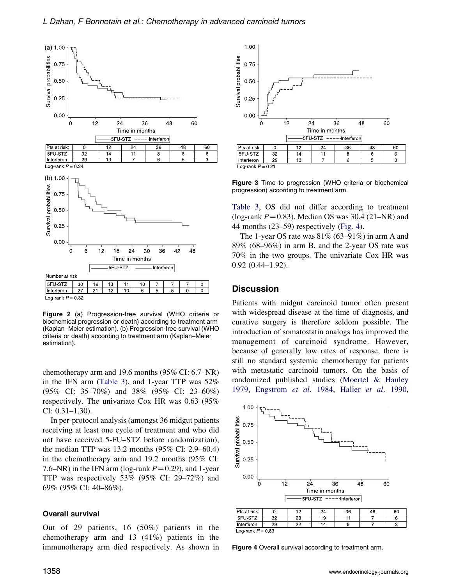<span id="page-7-0"></span>

Figure 2 (a) Progression-free survival (WHO criteria or biochemical progression or death) according to treatment arm (Kaplan–Meier estimation). (b) Progression-free survival (WHO criteria or death) according to treatment arm (Kaplan–Meier estimation).

chemotherapy arm and 19.6 months (95% CI: 6.7–NR) in the IFN arm [\(Table 3](#page-6-0)), and 1-year TTP was 52% (95% CI: 35–70%) and 38% (95% CI: 23–60%) respectively. The univariate Cox HR was 0.63 (95% CI: 0.31–1.30).

In per-protocol analysis (amongst 36 midgut patients receiving at least one cycle of treatment and who did not have received 5-FU–STZ before randomization), the median TTP was 13.2 months (95% CI: 2.9–60.4) in the chemotherapy arm and 19.2 months (95% CI: 7.6–NR) in the IFN arm (log-rank  $P=0.29$ ), and 1-year TTP was respectively 53% (95% CI: 29–72%) and 69% (95% CI: 40–86%).

## Overall survival

Out of 29 patients, 16 (50%) patients in the chemotherapy arm and 13 (41%) patients in the immunotherapy arm died respectively. As shown in



Figure 3 Time to progression (WHO criteria or biochemical progression) according to treatment arm.

[Table 3](#page-6-0), OS did not differ according to treatment (log-rank  $P = 0.83$ ). Median OS was 30.4 (21–NR) and 44 months (23–59) respectively (Fig. 4).

The 1-year OS rate was 81% (63–91%) in arm A and 89% (68–96%) in arm B, and the 2-year OS rate was 70% in the two groups. The univariate Cox HR was 0.92 (0.44–1.92).

## **Discussion**

Patients with midgut carcinoid tumor often present with widespread disease at the time of diagnosis, and curative surgery is therefore seldom possible. The introduction of somatostatin analogs has improved the management of carcinoid syndrome. However, because of generally low rates of response, there is still no standard systemic chemotherapy for patients with metastatic carcinoid tumors. On the basis of randomized published studies ([Moertel & Hanley](#page-10-0) [1979](#page-10-0), [Engstrom](#page-10-0) et al. 1984, Haller et al[. 1990,](#page-10-0)



| <sup>9</sup> ts at risk: |    | ຳ<br><u>.</u> | 24 | 36 | 48 | 60 |
|--------------------------|----|---------------|----|----|----|----|
| 5FU STZ                  | 32 | 23            | 19 |    |    |    |
| nterferon                | 29 | າາ<br>⋍       | 14 |    |    |    |
| on rank $P = 0.83$       |    |               |    |    |    |    |

Figure 4 Overall survival according to treatment arm.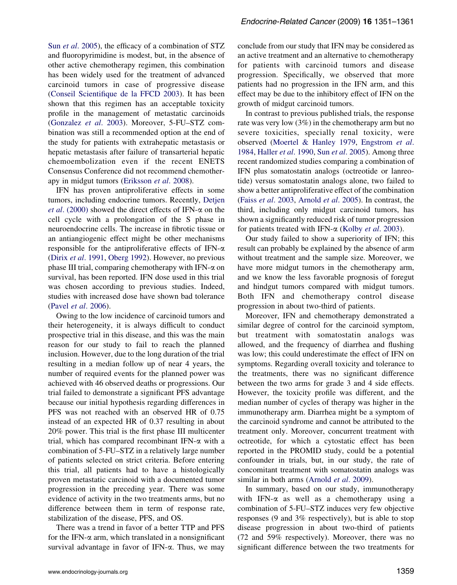Sun et al[. 2005](#page-10-0)), the efficacy of a combination of STZ and fluoropyrimidine is modest, but, in the absence of other active chemotherapy regimen, this combination has been widely used for the treatment of advanced carcinoid tumors in case of progressive disease [\(Conseil Scientifique de la FFCD 2003\)](#page-9-0). It has been shown that this regimen has an acceptable toxicity profile in the management of metastatic carcinoids [\(Gonzalez](#page-10-0) et al. 2003). Moreover, 5-FU–STZ combination was still a recommended option at the end of the study for patients with extrahepatic metastasis or hepatic metastasis after failure of transarterial hepatic chemoembolization even if the recent ENETS Consensus Conference did not recommend chemother-apy in midgut tumors [\(Eriksson](#page-10-0) et al. 2008).

IFN has proven antiproliferative effects in some tumors, including endocrine tumors. Recently, [Detjen](#page-9-0) et al[. \(2000\)](#page-9-0) showed the direct effects of IFN- $\alpha$  on the cell cycle with a prolongation of the S phase in neuroendocrine cells. The increase in fibrotic tissue or an antiangiogenic effect might be other mechanisms responsible for the antiproliferative effects of IFN-a (Dirix et al[. 1991](#page-9-0), [Oberg 1992\)](#page-10-0). However, no previous phase III trial, comparing chemotherapy with IFN- $\alpha$  on survival, has been reported. IFN dose used in this trial was chosen according to previous studies. Indeed, studies with increased dose have shown bad tolerance (Pavel et al[. 2006\)](#page-10-0).

Owing to the low incidence of carcinoid tumors and their heterogeneity, it is always difficult to conduct prospective trial in this disease, and this was the main reason for our study to fail to reach the planned inclusion. However, due to the long duration of the trial resulting in a median follow up of near 4 years, the number of required events for the planned power was achieved with 46 observed deaths or progressions. Our trial failed to demonstrate a significant PFS advantage because our initial hypothesis regarding differences in PFS was not reached with an observed HR of 0.75 instead of an expected HR of 0.37 resulting in about 20% power. This trial is the first phase III multicenter trial, which has compared recombinant IFN- $\alpha$  with a combination of 5-FU–STZ in a relatively large number of patients selected on strict criteria. Before entering this trial, all patients had to have a histologically proven metastatic carcinoid with a documented tumor progression in the preceding year. There was some evidence of activity in the two treatments arms, but no difference between them in term of response rate, stabilization of the disease, PFS, and OS.

There was a trend in favor of a better TTP and PFS for the IFN- $\alpha$  arm, which translated in a nonsignificant survival advantage in favor of IFN- $\alpha$ . Thus, we may conclude from our study that IFN may be considered as an active treatment and an alternative to chemotherapy for patients with carcinoid tumors and disease progression. Specifically, we observed that more patients had no progression in the IFN arm, and this effect may be due to the inhibitory effect of IFN on the growth of midgut carcinoid tumors.

In contrast to previous published trials, the response rate was very low (3%) in the chemotherapy arm but no severe toxicities, specially renal toxicity, were observed ([Moertel & Hanley 1979](#page-10-0), [Engstrom](#page-10-0) et al. [1984,](#page-10-0) Haller et al[. 1990](#page-10-0), Sun et al[. 2005\)](#page-10-0). Among three recent randomized studies comparing a combination of IFN plus somatostatin analogs (octreotide or lanreotide) versus somatostatin analogs alone, two failed to show a better antiproliferative effect of the combination (Faiss et al[. 2003,](#page-10-0) [Arnold](#page-9-0) et al. 2005). In contrast, the third, including only midgut carcinoid tumors, has shown a significantly reduced risk of tumor progression for patients treated with IFN- $\alpha$  (Kolby *et al.* 2003).

Our study failed to show a superiority of IFN; this result can probably be explained by the absence of arm without treatment and the sample size. Moreover, we have more midgut tumors in the chemotherapy arm, and we know the less favorable prognosis of foregut and hindgut tumors compared with midgut tumors. Both IFN and chemotherapy control disease progression in about two-third of patients.

Moreover, IFN and chemotherapy demonstrated a similar degree of control for the carcinoid symptom, but treatment with somatostatin analogs was allowed, and the frequency of diarrhea and flushing was low; this could underestimate the effect of IFN on symptoms. Regarding overall toxicity and tolerance to the treatments, there was no significant difference between the two arms for grade 3 and 4 side effects. However, the toxicity profile was different, and the median number of cycles of therapy was higher in the immunotherapy arm. Diarrhea might be a symptom of the carcinoid syndrome and cannot be attributed to the treatment only. Moreover, concurrent treatment with octreotide, for which a cytostatic effect has been reported in the PROMID study, could be a potential confounder in trials, but, in our study, the rate of concomitant treatment with somatostatin analogs was similar in both arms [\(Arnold](#page-9-0) et al. 2009).

In summary, based on our study, immunotherapy with IFN- $\alpha$  as well as a chemotherapy using a combination of 5-FU–STZ induces very few objective responses (9 and 3% respectively), but is able to stop disease progression in about two-third of patients (72 and 59% respectively). Moreover, there was no significant difference between the two treatments for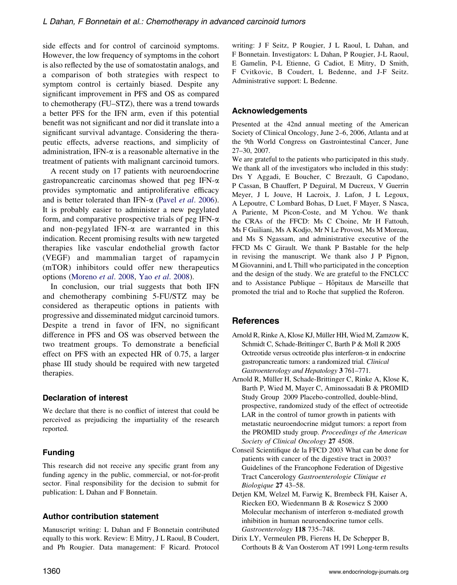<span id="page-9-0"></span>side effects and for control of carcinoid symptoms. However, the low frequency of symptoms in the cohort is also reflected by the use of somatostatin analogs, and a comparison of both strategies with respect to symptom control is certainly biased. Despite any significant improvement in PFS and OS as compared to chemotherapy (FU–STZ), there was a trend towards a better PFS for the IFN arm, even if this potential benefit was not significant and nor did it translate into a significant survival advantage. Considering the therapeutic effects, adverse reactions, and simplicity of administration, IFN- $\alpha$  is a reasonable alternative in the treatment of patients with malignant carcinoid tumors.

A recent study on 17 patients with neuroendocrine gastropancreatic carcinomas showed that peg IFN-a provides symptomatic and antiproliferative efficacy and is better tolerated than IFN- $\alpha$  (Pavel et al[. 2006](#page-10-0)). It is probably easier to administer a new pegylated form, and comparative prospective trials of peg IFN- $\alpha$ and non-pegylated IFN- $\alpha$  are warranted in this indication. Recent promising results with new targeted therapies like vascular endothelial growth factor (VEGF) and mammalian target of rapamycin (mTOR) inhibitors could offer new therapeutics options ([Moreno](#page-10-0) et al. 2008, Yao et al[. 2008](#page-10-0)).

In conclusion, our trial suggests that both IFN and chemotherapy combining 5-FU/STZ may be considered as therapeutic options in patients with progressive and disseminated midgut carcinoid tumors. Despite a trend in favor of IFN, no significant difference in PFS and OS was observed between the two treatment groups. To demonstrate a beneficial effect on PFS with an expected HR of 0.75, a larger phase III study should be required with new targeted therapies.

# Declaration of interest

We declare that there is no conflict of interest that could be perceived as prejudicing the impartiality of the research reported.

# Funding

This research did not receive any specific grant from any funding agency in the public, commercial, or not-for-profit sector. Final responsibility for the decision to submit for publication: L Dahan and F Bonnetain.

# Author contribution statement

Manuscript writing: L Dahan and F Bonnetain contributed equally to this work. Review: E Mitry, J L Raoul, B Coudert, and Ph Rougier. Data management: F Ricard. Protocol

writing: J F Seitz, P Rougier, J L Raoul, L Dahan, and F Bonnetain. Investigators: L Dahan, P Rougier, J-L Raoul, E Gamelin, P-L Etienne, G Cadiot, E Mitry, D Smith, F Cvitkovic, B Coudert, L Bedenne, and J-F Seitz. Administrative support: L Bedenne.

# Acknowledgements

Presented at the 42nd annual meeting of the American Society of Clinical Oncology, June 2–6, 2006, Atlanta and at the 9th World Congress on Gastrointestinal Cancer, June 27–30, 2007.

We are grateful to the patients who participated in this study. We thank all of the investigators who included in this study: Drs Y Aggadi, E Boucher, C Brezault, G Capodano, P Cassan, B Chauffert, P Deguiral, M Ducreux, V Guerrin Meyer, J L Jouve, H Lacroix, J. Lafon, J L Legoux, A Lepoutre, C Lombard Bohas, D Luet, F Mayer, S Nasca, A Pariente, M Picon-Coste, and M Ychou. We thank the CRAs of the FFCD: Ms C Choine, Mr H Fattouh, Ms F Guiliani, Ms A Kodjo, Mr N Le Provost, Ms M Moreau, and Ms S Ngassam, and administrative executive of the FFCD Ms C Girault. We thank P Bastable for the help in revising the manuscript. We thank also J P Pignon, M Giovannini, and L Thill who participated in the conception and the design of the study. We are grateful to the FNCLCC and to Assistance Publique – Hôpitaux de Marseille that promoted the trial and to Roche that supplied the Roferon.

# **References**

- Arnold R, Rinke A, Klose KJ, Müller HH, Wied M, Zamzow K, Schmidt C, Schade-Brittinger C, Barth P & Moll R 2005 Octreotide versus octreotide plus interferon- $\alpha$  in endocrine gastropancreatic tumors: a randomized trial. Clinical Gastroenterology and Hepatology 3 761–771.
- Arnold R, Müller H, Schade-Brittinger C, Rinke A, Klose K, Barth P, Wied M, Mayer C, Aminossadati B & PROMID Study Group 2009 Placebo-controlled, double-blind, prospective, randomized study of the effect of octreotide LAR in the control of tumor growth in patients with metastatic neuroendocrine midgut tumors: a report from the PROMID study group. Proceedings of the American Society of Clinical Oncology 27 4508.
- Conseil Scientifique de la FFCD 2003 What can be done for patients with cancer of the digestive tract in 2003? Guidelines of the Francophone Federation of Digestive Tract Cancerology Gastroenterologie Clinique et Biologique 27 43–58.
- Detjen KM, Welzel M, Farwig K, Brembeck FH, Kaiser A, Riecken EO, Wiedenmann B & Rosewicz S 2000 Molecular mechanism of interferon  $\alpha$ -mediated growth inhibition in human neuroendocrine tumor cells. Gastroenterology 118 735–748.
- Dirix LY, Vermeulen PB, Fierens H, De Schepper B, Corthouts B & Van Oosterom AT 1991 Long-term results